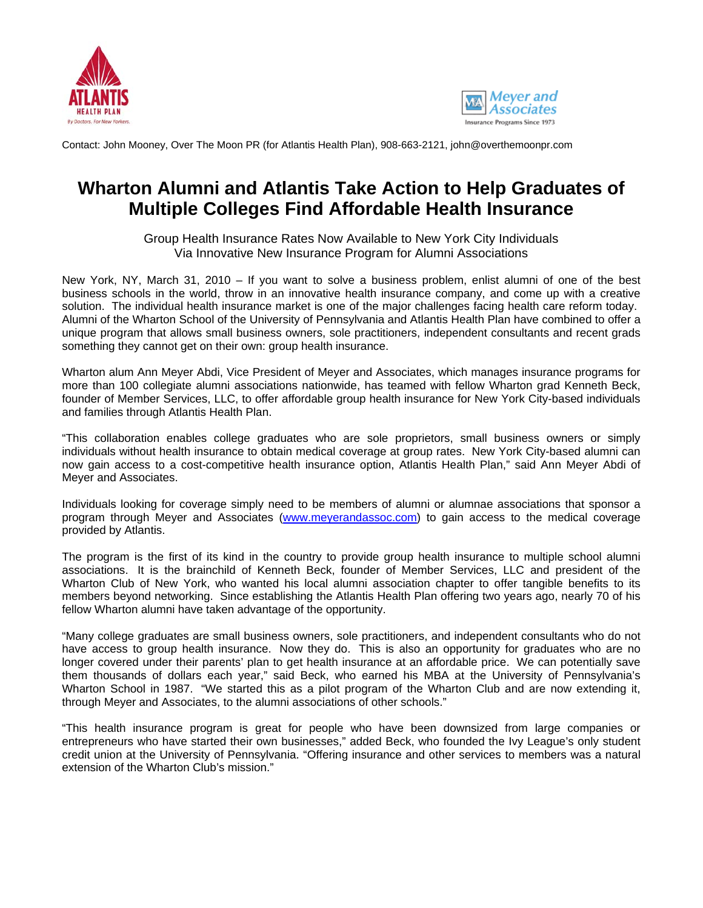



Contact: John Mooney, Over The Moon PR (for Atlantis Health Plan), 908-663-2121, john@overthemoonpr.com

## **Wharton Alumni and Atlantis Take Action to Help Graduates of Multiple Colleges Find Affordable Health Insurance**

Group Health Insurance Rates Now Available to New York City Individuals Via Innovative New Insurance Program for Alumni Associations

New York, NY, March 31, 2010 – If you want to solve a business problem, enlist alumni of one of the best business schools in the world, throw in an innovative health insurance company, and come up with a creative solution. The individual health insurance market is one of the major challenges facing health care reform today. Alumni of the Wharton School of the University of Pennsylvania and Atlantis Health Plan have combined to offer a unique program that allows small business owners, sole practitioners, independent consultants and recent grads something they cannot get on their own: group health insurance.

Wharton alum Ann Meyer Abdi, Vice President of Meyer and Associates, which manages insurance programs for more than 100 collegiate alumni associations nationwide, has teamed with fellow Wharton grad Kenneth Beck, founder of Member Services, LLC, to offer affordable group health insurance for New York City-based individuals and families through Atlantis Health Plan.

"This collaboration enables college graduates who are sole proprietors, small business owners or simply individuals without health insurance to obtain medical coverage at group rates. New York City-based alumni can now gain access to a cost-competitive health insurance option, Atlantis Health Plan," said Ann Meyer Abdi of Meyer and Associates.

Individuals looking for coverage simply need to be members of alumni or alumnae associations that sponsor a program through Meyer and Associates (www.meyerandassoc.com) to gain access to the medical coverage provided by Atlantis.

The program is the first of its kind in the country to provide group health insurance to multiple school alumni associations. It is the brainchild of Kenneth Beck, founder of Member Services, LLC and president of the Wharton Club of New York, who wanted his local alumni association chapter to offer tangible benefits to its members beyond networking. Since establishing the Atlantis Health Plan offering two years ago, nearly 70 of his fellow Wharton alumni have taken advantage of the opportunity.

"Many college graduates are small business owners, sole practitioners, and independent consultants who do not have access to group health insurance. Now they do. This is also an opportunity for graduates who are no longer covered under their parents' plan to get health insurance at an affordable price. We can potentially save them thousands of dollars each year," said Beck, who earned his MBA at the University of Pennsylvania's Wharton School in 1987. "We started this as a pilot program of the Wharton Club and are now extending it, through Meyer and Associates, to the alumni associations of other schools."

"This health insurance program is great for people who have been downsized from large companies or entrepreneurs who have started their own businesses," added Beck, who founded the Ivy League's only student credit union at the University of Pennsylvania. "Offering insurance and other services to members was a natural extension of the Wharton Club's mission."